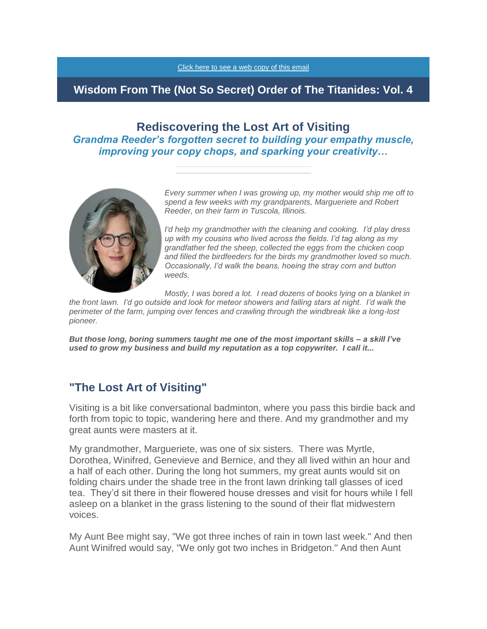[Click here to see a web copy of this email](https://titanidesllc.acemlna.com/lt.php?notrack=1¬rack=1&s=bad97c655476f96a390a72c05a742011&i=141A191A27A923)

# **Wisdom From The (Not So Secret) Order of The Titanides: Vol. 4**

# **Rediscovering the Lost Art of Visiting** *Grandma Reeder's forgotten secret to building your empathy muscle, improving your copy chops, and sparking your creativity…*



*Every summer when I was growing up, my mother would ship me off to spend a few weeks with my grandparents, Margueriete and Robert Reeder, on their farm in Tuscola, Illinois.* 

*I'd help my grandmother with the cleaning and cooking. I'd play dress up with my cousins who lived across the fields. I'd tag along as my grandfather fed the sheep, collected the eggs from the chicken coop and filled the birdfeeders for the birds my grandmother loved so much. Occasionally, I'd walk the beans, hoeing the stray corn and button weeds.*

*Mostly, I was bored a lot. I read dozens of books lying on a blanket in* 

*the front lawn. I'd go outside and look for meteor showers and falling stars at night. I'd walk the perimeter of the farm, jumping over fences and crawling through the windbreak like a long-lost pioneer.*

*But those long, boring summers taught me one of the most important skills – a skill I've used to grow my business and build my reputation as a top copywriter. I call it...*

# **"The Lost Art of Visiting"**

Visiting is a bit like conversational badminton, where you pass this birdie back and forth from topic to topic, wandering here and there. And my grandmother and my great aunts were masters at it.

My grandmother, Margueriete, was one of six sisters. There was Myrtle, Dorothea, Winifred, Genevieve and Bernice, and they all lived within an hour and a half of each other. During the long hot summers, my great aunts would sit on folding chairs under the shade tree in the front lawn drinking tall glasses of iced tea. They'd sit there in their flowered house dresses and visit for hours while I fell asleep on a blanket in the grass listening to the sound of their flat midwestern voices.

My Aunt Bee might say, "We got three inches of rain in town last week." And then Aunt Winifred would say, "We only got two inches in Bridgeton." And then Aunt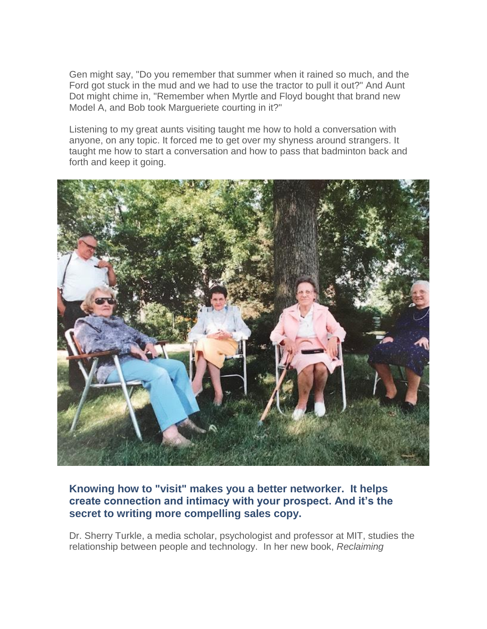Gen might say, "Do you remember that summer when it rained so much, and the Ford got stuck in the mud and we had to use the tractor to pull it out?" And Aunt Dot might chime in, "Remember when Myrtle and Floyd bought that brand new Model A, and Bob took Margueriete courting in it?"

Listening to my great aunts visiting taught me how to hold a conversation with anyone, on any topic. It forced me to get over my shyness around strangers. It taught me how to start a conversation and how to pass that badminton back and forth and keep it going.



## **Knowing how to "visit" makes you a better networker. It helps create connection and intimacy with your prospect. And it's the secret to writing more compelling sales copy.**

Dr. Sherry Turkle, a media scholar, psychologist and professor at MIT, studies the relationship between people and technology. In her new book, *Reclaiming*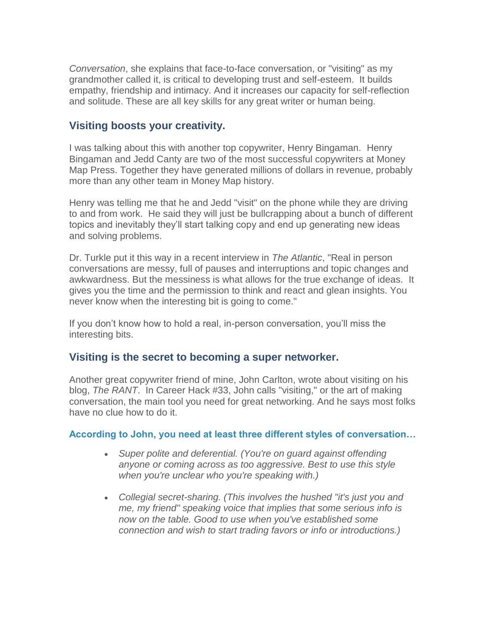*Conversation*, she explains that face-to-face conversation, or "visiting" as my grandmother called it, is critical to developing trust and self-esteem. It builds empathy, friendship and intimacy. And it increases our capacity for self-reflection and solitude. These are all key skills for any great writer or human being.

# **Visiting boosts your creativity.**

I was talking about this with another top copywriter, Henry Bingaman. Henry Bingaman and Jedd Canty are two of the most successful copywriters at Money Map Press. Together they have generated millions of dollars in revenue, probably more than any other team in Money Map history.

Henry was telling me that he and Jedd "visit" on the phone while they are driving to and from work. He said they will just be bullcrapping about a bunch of different topics and inevitably they'll start talking copy and end up generating new ideas and solving problems.

Dr. Turkle put it this way in a recent interview in *The Atlantic*, "Real in person conversations are messy, full of pauses and interruptions and topic changes and awkwardness. But the messiness is what allows for the true exchange of ideas. It gives you the time and the permission to think and react and glean insights. You never know when the interesting bit is going to come."

If you don't know how to hold a real, in-person conversation, you'll miss the interesting bits.

## **Visiting is the secret to becoming a super networker.**

Another great copywriter friend of mine, John Carlton, wrote about visiting on his blog, *The RANT*. In Career Hack #33, John calls "visiting," or the art of making conversation, the main tool you need for great networking. And he says most folks have no clue how to do it.

## **According to John, you need at least three different styles of conversation…**

- *Super polite and deferential. (You're on guard against offending anyone or coming across as too aggressive. Best to use this style when you're unclear who you're speaking with.)*
- *Collegial secret-sharing. (This involves the hushed "it's just you and me, my friend" speaking voice that implies that some serious info is now on the table. Good to use when you've established some connection and wish to start trading favors or info or introductions.)*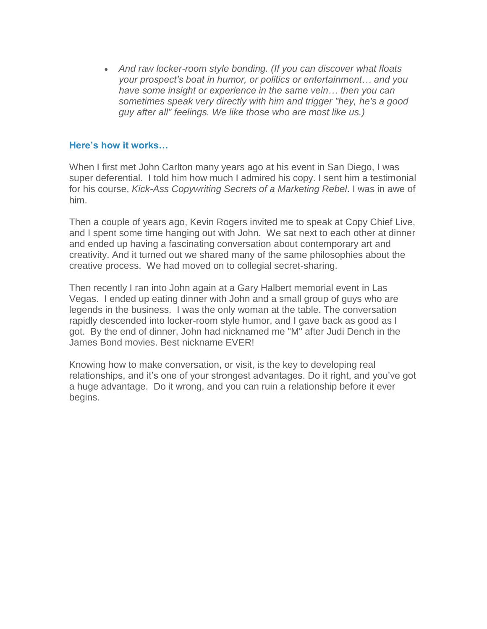*And raw locker-room style bonding. (If you can discover what floats your prospect's boat in humor, or politics or entertainment… and you have some insight or experience in the same vein… then you can sometimes speak very directly with him and trigger "hey, he's a good guy after all" feelings. We like those who are most like us.)*

#### **Here's how it works…**

When I first met John Carlton many years ago at his event in San Diego, I was super deferential. I told him how much I admired his copy. I sent him a testimonial for his course, *Kick-Ass Copywriting Secrets of a Marketing Rebel*. I was in awe of him.

Then a couple of years ago, Kevin Rogers invited me to speak at Copy Chief Live, and I spent some time hanging out with John. We sat next to each other at dinner and ended up having a fascinating conversation about contemporary art and creativity. And it turned out we shared many of the same philosophies about the creative process. We had moved on to collegial secret-sharing.

Then recently I ran into John again at a Gary Halbert memorial event in Las Vegas. I ended up eating dinner with John and a small group of guys who are legends in the business. I was the only woman at the table. The conversation rapidly descended into locker-room style humor, and I gave back as good as I got. By the end of dinner, John had nicknamed me "M" after Judi Dench in the James Bond movies. Best nickname EVER!

Knowing how to make conversation, or visit, is the key to developing real relationships, and it's one of your strongest advantages. Do it right, and you've got a huge advantage. Do it wrong, and you can ruin a relationship before it ever begins.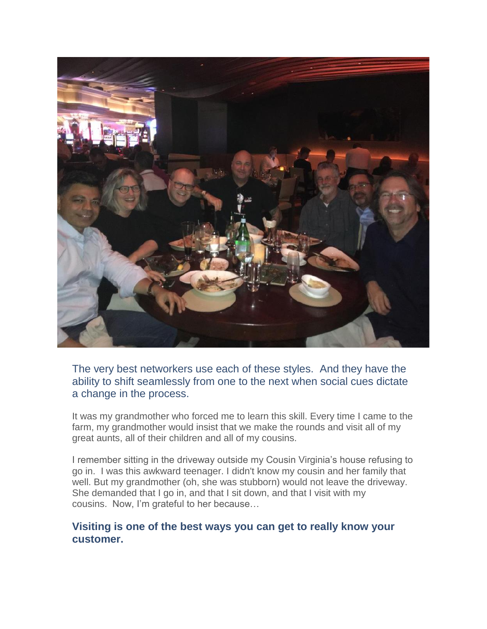

The very best networkers use each of these styles. And they have the ability to shift seamlessly from one to the next when social cues dictate a change in the process.

It was my grandmother who forced me to learn this skill. Every time I came to the farm, my grandmother would insist that we make the rounds and visit all of my great aunts, all of their children and all of my cousins.

I remember sitting in the driveway outside my Cousin Virginia's house refusing to go in. I was this awkward teenager. I didn't know my cousin and her family that well. But my grandmother (oh, she was stubborn) would not leave the driveway. She demanded that I go in, and that I sit down, and that I visit with my cousins. Now, I'm grateful to her because…

## **Visiting is one of the best ways you can get to really know your customer.**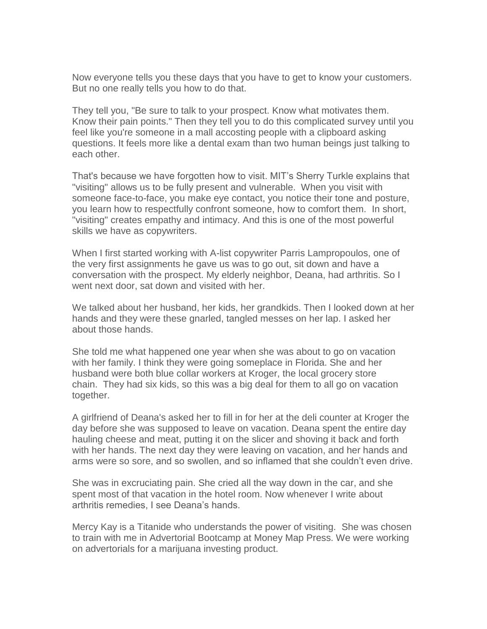Now everyone tells you these days that you have to get to know your customers. But no one really tells you how to do that.

They tell you, "Be sure to talk to your prospect. Know what motivates them. Know their pain points." Then they tell you to do this complicated survey until you feel like you're someone in a mall accosting people with a clipboard asking questions. It feels more like a dental exam than two human beings just talking to each other.

That's because we have forgotten how to visit. MIT's Sherry Turkle explains that "visiting" allows us to be fully present and vulnerable. When you visit with someone face-to-face, you make eye contact, you notice their tone and posture, you learn how to respectfully confront someone, how to comfort them. In short, "visiting" creates empathy and intimacy. And this is one of the most powerful skills we have as copywriters.

When I first started working with A-list copywriter Parris Lampropoulos, one of the very first assignments he gave us was to go out, sit down and have a conversation with the prospect. My elderly neighbor, Deana, had arthritis. So I went next door, sat down and visited with her.

We talked about her husband, her kids, her grandkids. Then I looked down at her hands and they were these gnarled, tangled messes on her lap. I asked her about those hands.

She told me what happened one year when she was about to go on vacation with her family. I think they were going someplace in Florida. She and her husband were both blue collar workers at Kroger, the local grocery store chain. They had six kids, so this was a big deal for them to all go on vacation together.

A girlfriend of Deana's asked her to fill in for her at the deli counter at Kroger the day before she was supposed to leave on vacation. Deana spent the entire day hauling cheese and meat, putting it on the slicer and shoving it back and forth with her hands. The next day they were leaving on vacation, and her hands and arms were so sore, and so swollen, and so inflamed that she couldn't even drive.

She was in excruciating pain. She cried all the way down in the car, and she spent most of that vacation in the hotel room. Now whenever I write about arthritis remedies, I see Deana's hands.

Mercy Kay is a Titanide who understands the power of visiting. She was chosen to train with me in Advertorial Bootcamp at Money Map Press. We were working on advertorials for a marijuana investing product.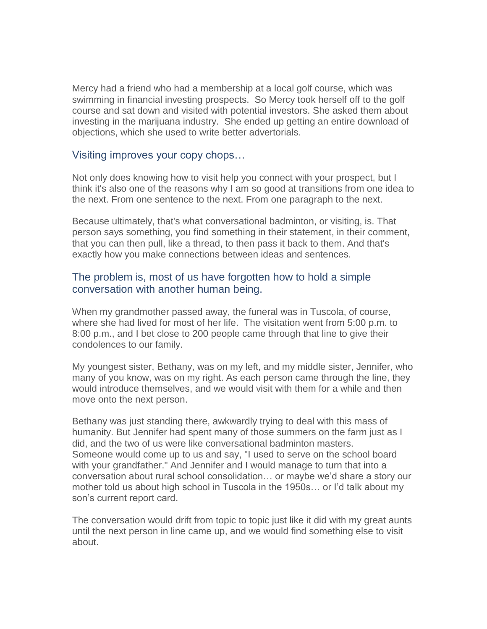Mercy had a friend who had a membership at a local golf course, which was swimming in financial investing prospects. So Mercy took herself off to the golf course and sat down and visited with potential investors. She asked them about investing in the marijuana industry. She ended up getting an entire download of objections, which she used to write better advertorials.

#### Visiting improves your copy chops…

Not only does knowing how to visit help you connect with your prospect, but I think it's also one of the reasons why I am so good at transitions from one idea to the next. From one sentence to the next. From one paragraph to the next.

Because ultimately, that's what conversational badminton, or visiting, is. That person says something, you find something in their statement, in their comment, that you can then pull, like a thread, to then pass it back to them. And that's exactly how you make connections between ideas and sentences.

## The problem is, most of us have forgotten how to hold a simple conversation with another human being.

When my grandmother passed away, the funeral was in Tuscola, of course, where she had lived for most of her life. The visitation went from 5:00 p.m. to 8:00 p.m., and I bet close to 200 people came through that line to give their condolences to our family.

My youngest sister, Bethany, was on my left, and my middle sister, Jennifer, who many of you know, was on my right. As each person came through the line, they would introduce themselves, and we would visit with them for a while and then move onto the next person.

Bethany was just standing there, awkwardly trying to deal with this mass of humanity. But Jennifer had spent many of those summers on the farm just as I did, and the two of us were like conversational badminton masters. Someone would come up to us and say, "I used to serve on the school board with your grandfather." And Jennifer and I would manage to turn that into a conversation about rural school consolidation… or maybe we'd share a story our mother told us about high school in Tuscola in the 1950s… or I'd talk about my son's current report card.

The conversation would drift from topic to topic just like it did with my great aunts until the next person in line came up, and we would find something else to visit about.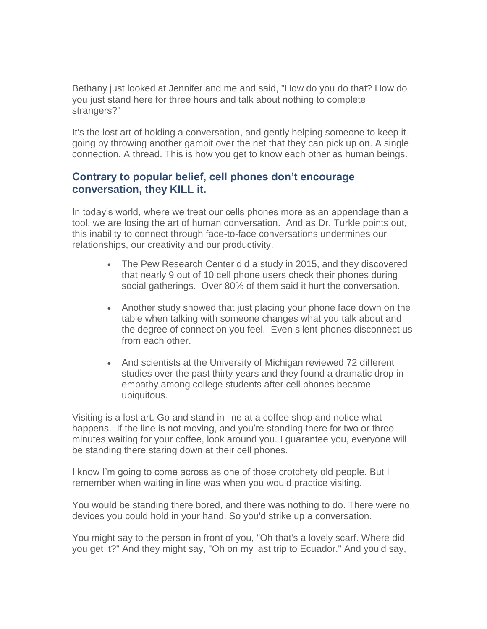Bethany just looked at Jennifer and me and said, "How do you do that? How do you just stand here for three hours and talk about nothing to complete strangers?"

It's the lost art of holding a conversation, and gently helping someone to keep it going by throwing another gambit over the net that they can pick up on. A single connection. A thread. This is how you get to know each other as human beings.

## **Contrary to popular belief, cell phones don't encourage conversation, they KILL it.**

In today's world, where we treat our cells phones more as an appendage than a tool, we are losing the art of human conversation. And as Dr. Turkle points out, this inability to connect through face-to-face conversations undermines our relationships, our creativity and our productivity.

- The Pew Research Center did a study in 2015, and they discovered that nearly 9 out of 10 cell phone users check their phones during social gatherings. Over 80% of them said it hurt the conversation.
- Another study showed that just placing your phone face down on the table when talking with someone changes what you talk about and the degree of connection you feel. Even silent phones disconnect us from each other.
- And scientists at the University of Michigan reviewed 72 different studies over the past thirty years and they found a dramatic drop in empathy among college students after cell phones became ubiquitous.

Visiting is a lost art. Go and stand in line at a coffee shop and notice what happens. If the line is not moving, and you're standing there for two or three minutes waiting for your coffee, look around you. I guarantee you, everyone will be standing there staring down at their cell phones.

I know I'm going to come across as one of those crotchety old people. But I remember when waiting in line was when you would practice visiting.

You would be standing there bored, and there was nothing to do. There were no devices you could hold in your hand. So you'd strike up a conversation.

You might say to the person in front of you, "Oh that's a lovely scarf. Where did you get it?" And they might say, "Oh on my last trip to Ecuador." And you'd say,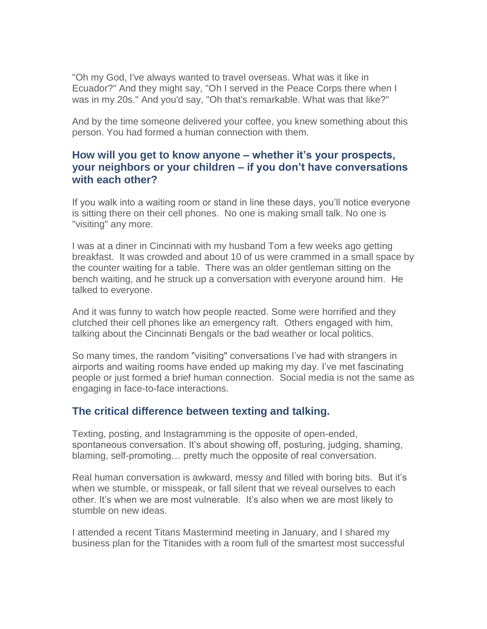"Oh my God, I've always wanted to travel overseas. What was it like in Ecuador?" And they might say, "Oh I served in the Peace Corps there when I was in my 20s." And you'd say, "Oh that's remarkable. What was that like?"

And by the time someone delivered your coffee, you knew something about this person. You had formed a human connection with them.

## **How will you get to know anyone – whether it's your prospects, your neighbors or your children – if you don't have conversations with each other?**

If you walk into a waiting room or stand in line these days, you'll notice everyone is sitting there on their cell phones. No one is making small talk. No one is "visiting" any more.

I was at a diner in Cincinnati with my husband Tom a few weeks ago getting breakfast. It was crowded and about 10 of us were crammed in a small space by the counter waiting for a table. There was an older gentleman sitting on the bench waiting, and he struck up a conversation with everyone around him. He talked to everyone.

And it was funny to watch how people reacted. Some were horrified and they clutched their cell phones like an emergency raft. Others engaged with him, talking about the Cincinnati Bengals or the bad weather or local politics.

So many times, the random "visiting" conversations I've had with strangers in airports and waiting rooms have ended up making my day. I've met fascinating people or just formed a brief human connection. Social media is not the same as engaging in face-to-face interactions.

## **The critical difference between texting and talking.**

Texting, posting, and Instagramming is the opposite of open-ended, spontaneous conversation. It's about showing off, posturing, judging, shaming, blaming, self-promoting… pretty much the opposite of real conversation.

Real human conversation is awkward, messy and filled with boring bits. But it's when we stumble, or misspeak, or fall silent that we reveal ourselves to each other. It's when we are most vulnerable. It's also when we are most likely to stumble on new ideas.

I attended a recent Titans Mastermind meeting in January, and I shared my business plan for the Titanides with a room full of the smartest most successful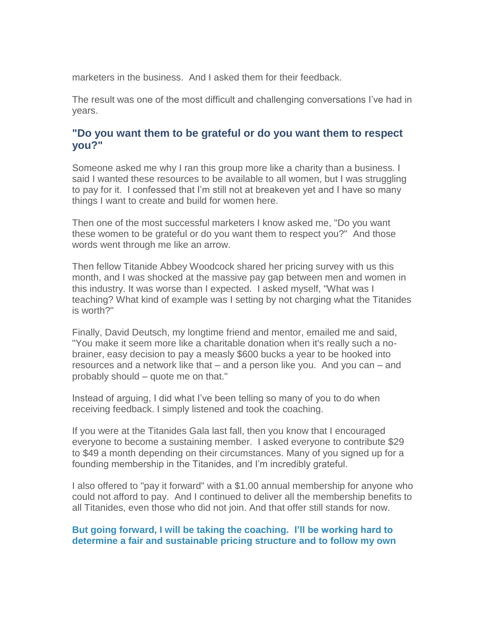marketers in the business. And I asked them for their feedback.

The result was one of the most difficult and challenging conversations I've had in years.

## **"Do you want them to be grateful or do you want them to respect you?"**

Someone asked me why I ran this group more like a charity than a business. I said I wanted these resources to be available to all women, but I was struggling to pay for it. I confessed that I'm still not at breakeven yet and I have so many things I want to create and build for women here.

Then one of the most successful marketers I know asked me, "Do you want these women to be grateful or do you want them to respect you?" And those words went through me like an arrow.

Then fellow Titanide Abbey Woodcock shared her pricing survey with us this month, and I was shocked at the massive pay gap between men and women in this industry. It was worse than I expected. I asked myself, "What was I teaching? What kind of example was I setting by not charging what the Titanides is worth?"

Finally, David Deutsch, my longtime friend and mentor, emailed me and said, "You make it seem more like a charitable donation when it's really such a nobrainer, easy decision to pay a measly \$600 bucks a year to be hooked into resources and a network like that – and a person like you. And you can – and probably should – quote me on that."

Instead of arguing, I did what I've been telling so many of you to do when receiving feedback. I simply listened and took the coaching.

If you were at the Titanides Gala last fall, then you know that I encouraged everyone to become a sustaining member. I asked everyone to contribute \$29 to \$49 a month depending on their circumstances. Many of you signed up for a founding membership in the Titanides, and I'm incredibly grateful.

I also offered to "pay it forward" with a \$1.00 annual membership for anyone who could not afford to pay. And I continued to deliver all the membership benefits to all Titanides, even those who did not join. And that offer still stands for now.

## **But going forward, I will be taking the coaching. I'll be working hard to determine a fair and sustainable pricing structure and to follow my own**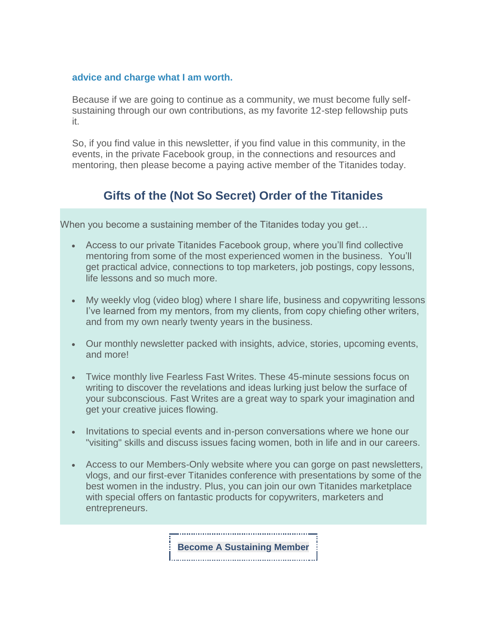#### **advice and charge what I am worth.**

Because if we are going to continue as a community, we must become fully selfsustaining through our own contributions, as my favorite 12-step fellowship puts it.

So, if you find value in this newsletter, if you find value in this community, in the events, in the private Facebook group, in the connections and resources and mentoring, then please become a paying active member of the Titanides today.

# **Gifts of the (Not So Secret) Order of the Titanides**

When you become a sustaining member of the Titanides today you get…

- Access to our private Titanides Facebook group, where you'll find collective mentoring from some of the most experienced women in the business. You'll get practical advice, connections to top marketers, job postings, copy lessons, life lessons and so much more.
- My weekly vlog (video blog) where I share life, business and copywriting lessons I've learned from my mentors, from my clients, from copy chiefing other writers, and from my own nearly twenty years in the business.
- Our monthly newsletter packed with insights, advice, stories, upcoming events, and more!
- Twice monthly live Fearless Fast Writes. These 45-minute sessions focus on writing to discover the revelations and ideas lurking just below the surface of your subconscious. Fast Writes are a great way to spark your imagination and get your creative juices flowing.
- Invitations to special events and in-person conversations where we hone our "visiting" skills and discuss issues facing women, both in life and in our careers.
- Access to our Members-Only website where you can gorge on past newsletters, vlogs, and our first-ever Titanides conference with presentations by some of the best women in the industry. Plus, you can join our own Titanides marketplace with special offers on fantastic products for copywriters, marketers and entrepreneurs.

**Become A [Sustaining](https://titanidesllc.acemlna.com/lt.php?notrack=1¬rack=1&s=bad97c655476f96a390a72c05a742011&i=141A191A27A947) Member**